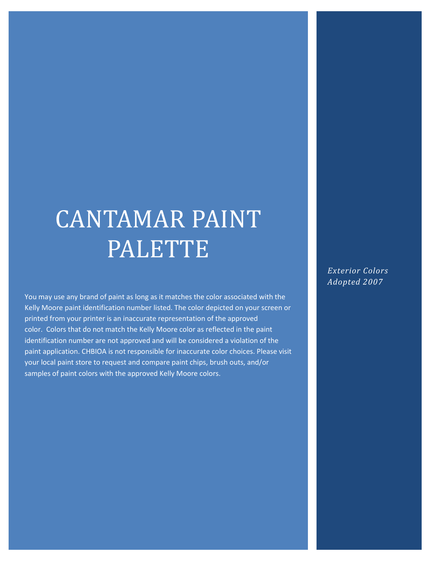## CANTAMAR PAINT PALETTE

You may use any brand of paint as long as it matches the color associated with the Kelly Moore paint identification number listed. The color depicted on your screen or printed from your printer is an inaccurate representation of the approved color. Colors that do not match the Kelly Moore color as reflected in the paint identification number are not approved and will be considered a violation of the paint application. CHBIOA is not responsible for inaccurate color choices. Please visit your local paint store to request and compare paint chips, brush outs, and/or samples of paint colors with the approved Kelly Moore colors.

*Exterior Colors Adopted 2007*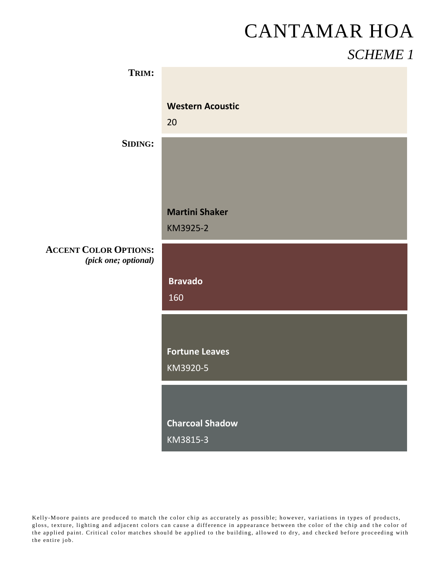# CANTAMAR HOA

#### *SCHEME 1*

| TRIM:                                                |                         |
|------------------------------------------------------|-------------------------|
|                                                      | <b>Western Acoustic</b> |
|                                                      | 20                      |
| <b>SIDING:</b>                                       |                         |
|                                                      |                         |
|                                                      |                         |
|                                                      | <b>Martini Shaker</b>   |
|                                                      | KM3925-2                |
| <b>ACCENT COLOR OPTIONS:</b><br>(pick one; optional) |                         |
|                                                      | <b>Bravado</b>          |
|                                                      | 160                     |
|                                                      |                         |
|                                                      | <b>Fortune Leaves</b>   |
|                                                      | KM3920-5                |
|                                                      |                         |
|                                                      | <b>Charcoal Shadow</b>  |
|                                                      | KM3815-3                |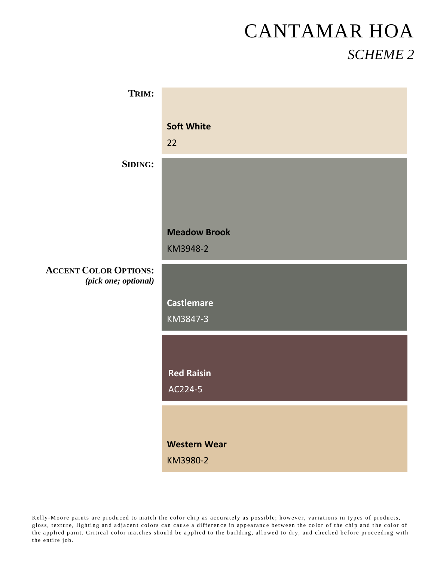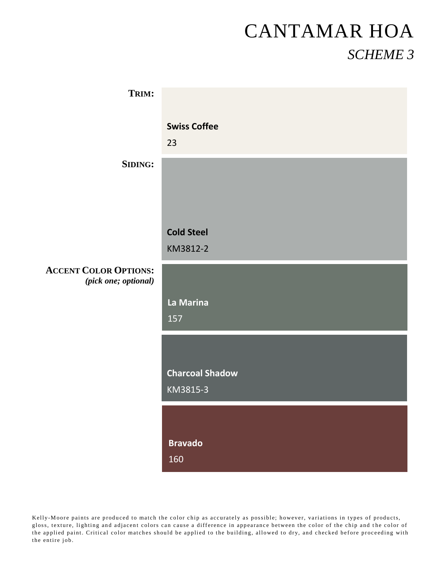| TRIM:                                                |                           |
|------------------------------------------------------|---------------------------|
|                                                      | <b>Swiss Coffee</b><br>23 |
| <b>SIDING:</b>                                       |                           |
|                                                      |                           |
|                                                      | <b>Cold Steel</b>         |
|                                                      | KM3812-2                  |
| <b>ACCENT COLOR OPTIONS:</b><br>(pick one; optional) |                           |
|                                                      | La Marina                 |
|                                                      | 157                       |
|                                                      |                           |
|                                                      | <b>Charcoal Shadow</b>    |
|                                                      | KM3815-3                  |
|                                                      |                           |
|                                                      | <b>Bravado</b>            |
|                                                      | 160                       |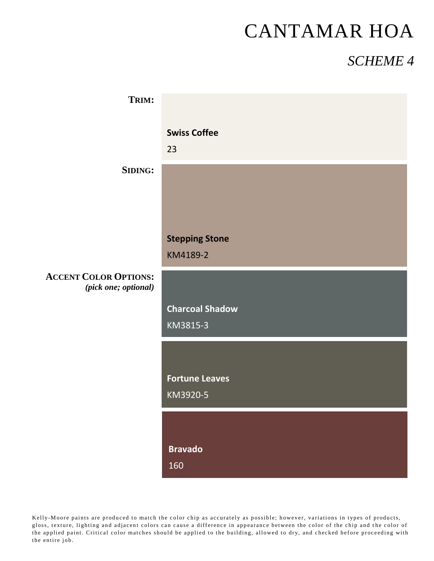## CANTAMAR HOA

#### *SCHEME 4*

| TRIM:                                                |                                   |
|------------------------------------------------------|-----------------------------------|
|                                                      | <b>Swiss Coffee</b><br>23         |
| <b>SIDING:</b>                                       |                                   |
|                                                      |                                   |
|                                                      | <b>Stepping Stone</b><br>KM4189-2 |
| <b>ACCENT COLOR OPTIONS:</b><br>(pick one; optional) |                                   |
|                                                      |                                   |
|                                                      | <b>Charcoal Shadow</b>            |
|                                                      | KM3815-3                          |
|                                                      |                                   |
|                                                      | <b>Fortune Leaves</b><br>KM3920-5 |
|                                                      |                                   |
|                                                      | <b>Bravado</b><br>160             |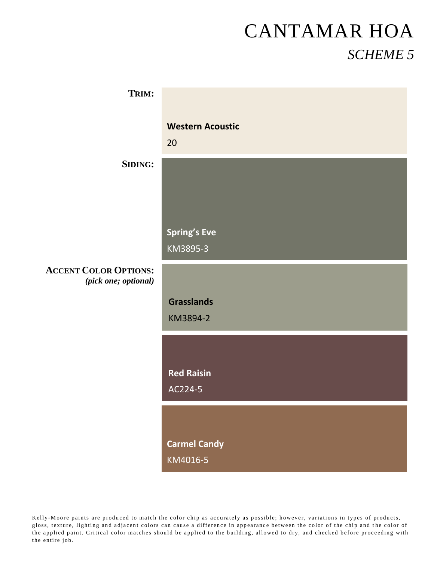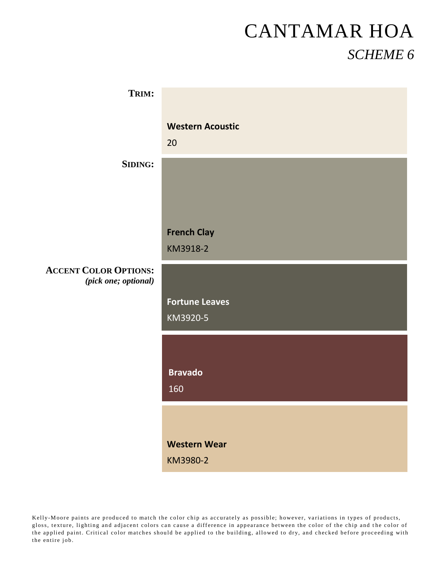| TRIM:                        |                         |
|------------------------------|-------------------------|
|                              |                         |
|                              | <b>Western Acoustic</b> |
|                              |                         |
|                              | 20                      |
| <b>SIDING:</b>               |                         |
|                              |                         |
|                              |                         |
|                              |                         |
|                              |                         |
|                              | <b>French Clay</b>      |
|                              |                         |
|                              | KM3918-2                |
| <b>ACCENT COLOR OPTIONS:</b> |                         |
| (pick one; optional)         |                         |
|                              | <b>Fortune Leaves</b>   |
|                              |                         |
|                              | KM3920-5                |
|                              |                         |
|                              |                         |
|                              |                         |
|                              | <b>Bravado</b>          |
|                              | 160                     |
|                              |                         |
|                              |                         |
|                              |                         |
|                              | <b>Western Wear</b>     |
|                              | KM3980-2                |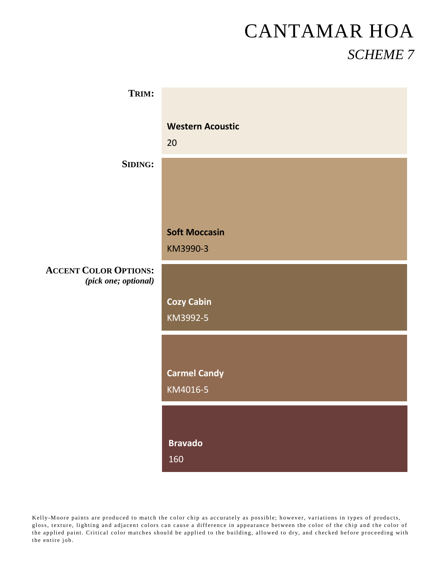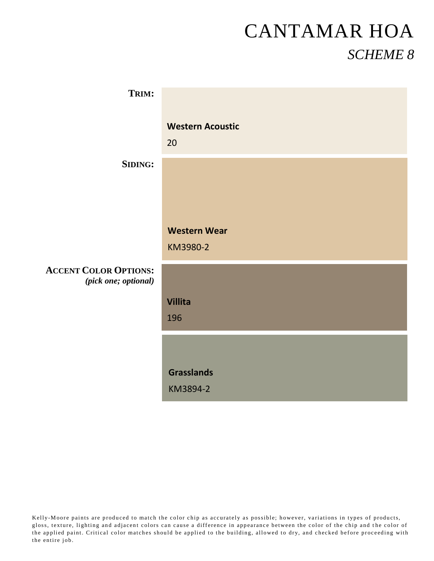| TRIM:                                                |                         |
|------------------------------------------------------|-------------------------|
|                                                      |                         |
|                                                      | <b>Western Acoustic</b> |
|                                                      | 20                      |
| <b>SIDING:</b>                                       |                         |
|                                                      |                         |
|                                                      |                         |
|                                                      | <b>Western Wear</b>     |
|                                                      | KM3980-2                |
| <b>ACCENT COLOR OPTIONS:</b><br>(pick one; optional) |                         |
|                                                      | <b>Villita</b>          |
|                                                      | 196                     |
|                                                      |                         |
|                                                      |                         |
|                                                      | <b>Grasslands</b>       |
|                                                      | KM3894-2                |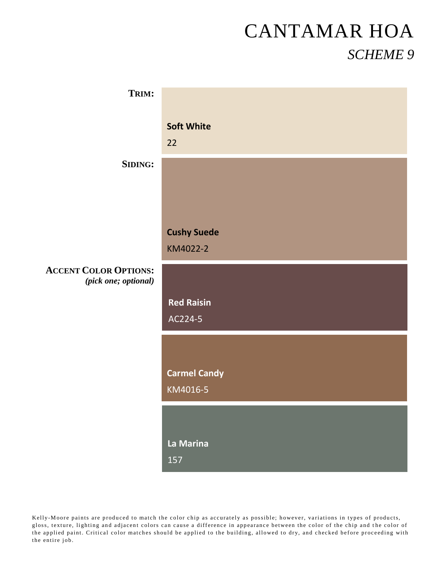| TRIM:                 |                     |
|-----------------------|---------------------|
|                       |                     |
|                       | <b>Soft White</b>   |
|                       |                     |
|                       | 22                  |
| <b>SIDING:</b>        |                     |
|                       |                     |
|                       |                     |
|                       |                     |
|                       |                     |
|                       | <b>Cushy Suede</b>  |
|                       |                     |
|                       | KM4022-2            |
| <b>COLOR OPTIONS:</b> |                     |
| (pick one; optional)  |                     |
|                       |                     |
|                       | <b>Red Raisin</b>   |
|                       | AC224-5             |
|                       |                     |
|                       |                     |
|                       |                     |
|                       | <b>Carmel Candy</b> |
|                       | KM4016-5            |
|                       |                     |
|                       |                     |
|                       |                     |
|                       | La Marina           |
|                       | 157                 |
|                       |                     |

 $ACCENT$